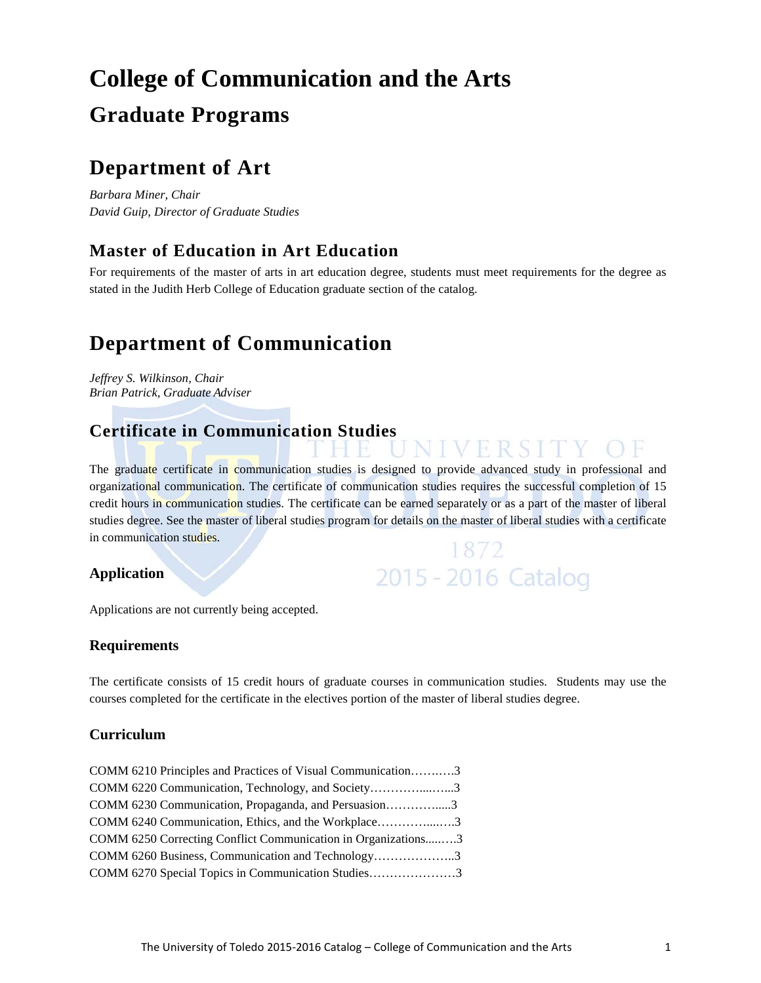# **College of Communication and the Arts Graduate Programs**

## **Department of Art**

*Barbara Miner, Chair David Guip, Director of Graduate Studies* 

## **Master of Education in Art Education**

For requirements of the master of arts in art education degree, students must meet requirements for the degree as stated in the Judith Herb College of Education graduate section of the catalog.

## **Department of Communication**

*Jeffrey S. Wilkinson, Chair Brian Patrick, Graduate Adviser*

## **Certificate in Communication Studies**

The graduate certificate in communication studies is designed to provide advanced study in professional and organizational communication. The certificate of communication studies requires the successful completion of 15 credit hours in communication studies. The certificate can be earned separately or as a part of the master of liberal studies degree. See the master of liberal studies program for details on the master of liberal studies with a certificate in communication studies. 1872

ER STT

2015 - 2016 Catalog

#### **Application**

Applications are not currently being accepted.

#### **Requirements**

The certificate consists of 15 credit hours of graduate courses in communication studies. Students may use the courses completed for the certificate in the electives portion of the master of liberal studies degree.

#### **Curriculum**

| COMM 6210 Principles and Practices of Visual Communication3   |  |
|---------------------------------------------------------------|--|
| COMM 6220 Communication, Technology, and Society3             |  |
| COMM 6230 Communication, Propaganda, and Persuasion3          |  |
| COMM 6240 Communication, Ethics, and the Workplace3           |  |
| COMM 6250 Correcting Conflict Communication in Organizations3 |  |
| COMM 6260 Business, Communication and Technology3             |  |
| COMM 6270 Special Topics in Communication Studies3            |  |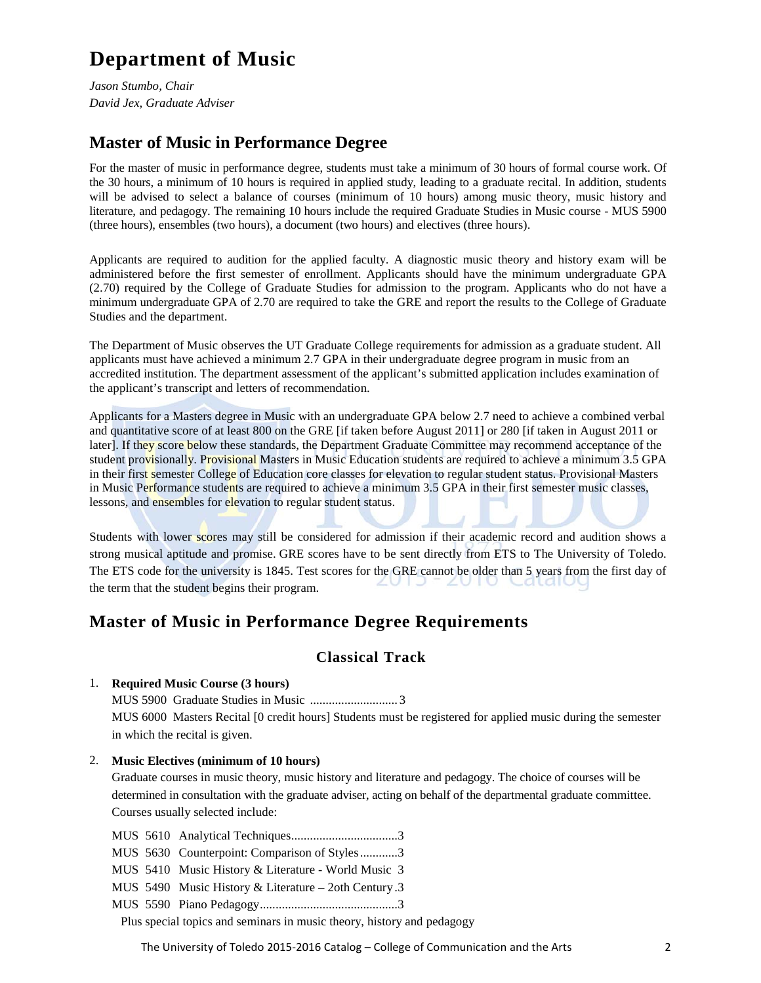## **Department of Music**

*Jason Stumbo, Chair David Jex, Graduate Adviser*

### **Master of Music in Performance Degree**

For the master of music in performance degree, students must take a minimum of 30 hours of formal course work. Of the 30 hours, a minimum of 10 hours is required in applied study, leading to a graduate recital. In addition, students will be advised to select a balance of courses (minimum of 10 hours) among music theory, music history and literature, and pedagogy. The remaining 10 hours include the required Graduate Studies in Music course - MUS 5900 (three hours), ensembles (two hours), a document (two hours) and electives (three hours).

Applicants are required to audition for the applied faculty. A diagnostic music theory and history exam will be administered before the first semester of enrollment. Applicants should have the minimum undergraduate GPA (2.70) required by the College of Graduate Studies for admission to the program. Applicants who do not have a minimum undergraduate GPA of 2.70 are required to take the GRE and report the results to the College of Graduate Studies and the department.

The Department of Music observes the UT Graduate College requirements for admission as a graduate student. All applicants must have achieved a minimum 2.7 GPA in their undergraduate degree program in music from an accredited institution. The department assessment of the applicant's submitted application includes examination of the applicant's transcript and letters of recommendation.

Applicants for a Masters degree in Music with an undergraduate GPA below 2.7 need to achieve a combined verbal and quantitative score of at least 800 on the GRE [if taken before August 2011] or 280 [if taken in August 2011 or later]. If they score below these standards, the Department Graduate Committee may recommend acceptance of the student provisionally. Provisional Masters in Music Education students are required to achieve a minimum 3.5 GPA in their first semester College of Education core classes for elevation to regular student status. Provisional Masters in Music Performance students are required to achieve a minimum 3.5 GPA in their first semester music classes, lessons, and ensembles for elevation to regular student status.

Students with lower scores may still be considered for admission if their academic record and audition shows a strong musical aptitude and promise. GRE scores have to be sent directly from ETS to The University of Toledo. The ETS code for the university is 1845. Test scores for the GRE cannot be older than 5 years from the first day of the term that the student begins their program.

### **Master of Music in Performance Degree Requirements**

#### **Classical Track**

#### 1. **Required Music Course (3 hours)**

MUS 5900 Graduate Studies in Music ............................ 3 MUS 6000 Masters Recital [0 credit hours] Students must be registered for applied music during the semester in which the recital is given.

#### 2. **Music Electives (minimum of 10 hours)**

Graduate courses in music theory, music history and literature and pedagogy. The choice of courses will be determined in consultation with the graduate adviser, acting on behalf of the departmental graduate committee. Courses usually selected include:

MUS 5610 Analytical Techniques..................................3

MUS 5630 Counterpoint: Comparison of Styles............3

MUS 5410 Music History & Literature - World Music 3

MUS 5490 Music History & Literature – 2oth Century .3

MUS 5590 Piano Pedagogy............................................3

Plus special topics and seminars in music theory, history and pedagogy

The University of Toledo 2015-2016 Catalog – College of Communication and the Arts 2